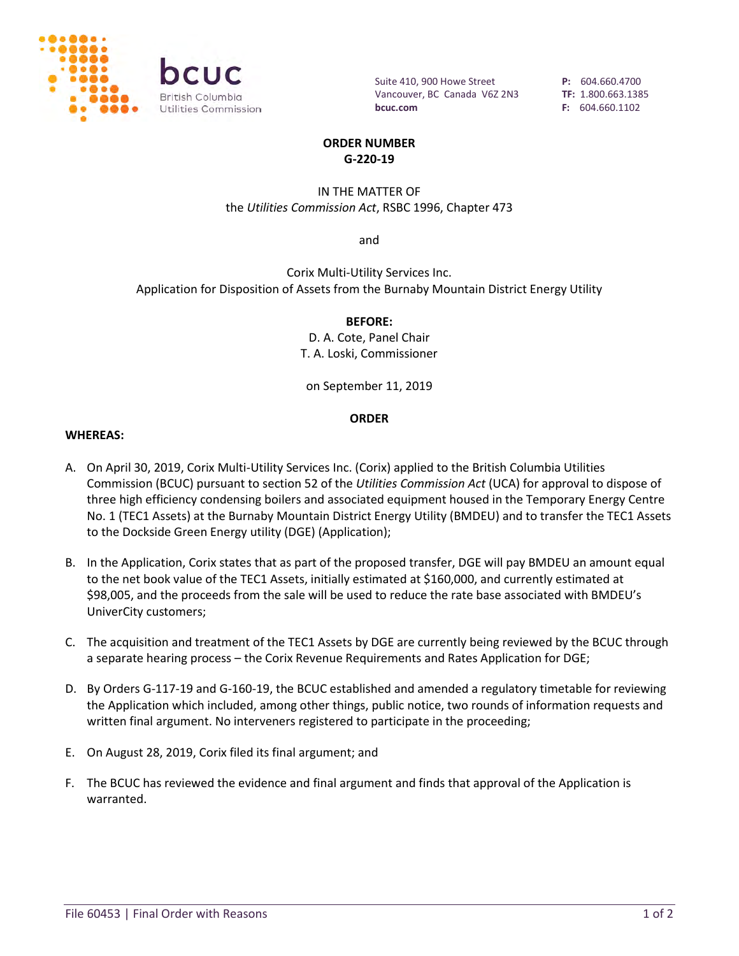

Suite 410, 900 Howe Street Vancouver, BC Canada V6Z 2N3 **bcuc.com**

**P:** 604.660.4700 **TF:** 1.800.663.1385 **F:** 604.660.1102

#### **ORDER NUMBER G-220-19**

#### IN THE MATTER OF the *Utilities Commission Act*, RSBC 1996, Chapter 473

and

Corix Multi-Utility Services Inc. Application for Disposition of Assets from the Burnaby Mountain District Energy Utility

# **BEFORE:**

D. A. Cote, Panel Chair T. A. Loski, Commissioner

on September 11, 2019

#### **ORDER**

#### **WHEREAS:**

- A. On April 30, 2019, Corix Multi-Utility Services Inc. (Corix) applied to the British Columbia Utilities Commission (BCUC) pursuant to section 52 of the *Utilities Commission Act* (UCA) for approval to dispose of three high efficiency condensing boilers and associated equipment housed in the Temporary Energy Centre No. 1 (TEC1 Assets) at the Burnaby Mountain District Energy Utility (BMDEU) and to transfer the TEC1 Assets to the Dockside Green Energy utility (DGE) (Application);
- B. In the Application, Corix states that as part of the proposed transfer, DGE will pay BMDEU an amount equal to the net book value of the TEC1 Assets, initially estimated at \$160,000, and currently estimated at \$98,005, and the proceeds from the sale will be used to reduce the rate base associated with BMDEU's UniverCity customers;
- C. The acquisition and treatment of the TEC1 Assets by DGE are currently being reviewed by the BCUC through a separate hearing process – the Corix Revenue Requirements and Rates Application for DGE;
- D. By Orders G-117-19 and G-160-19, the BCUC established and amended a regulatory timetable for reviewing the Application which included, among other things, public notice, two rounds of information requests and written final argument. No interveners registered to participate in the proceeding;
- E. On August 28, 2019, Corix filed its final argument; and
- F. The BCUC has reviewed the evidence and final argument and finds that approval of the Application is warranted.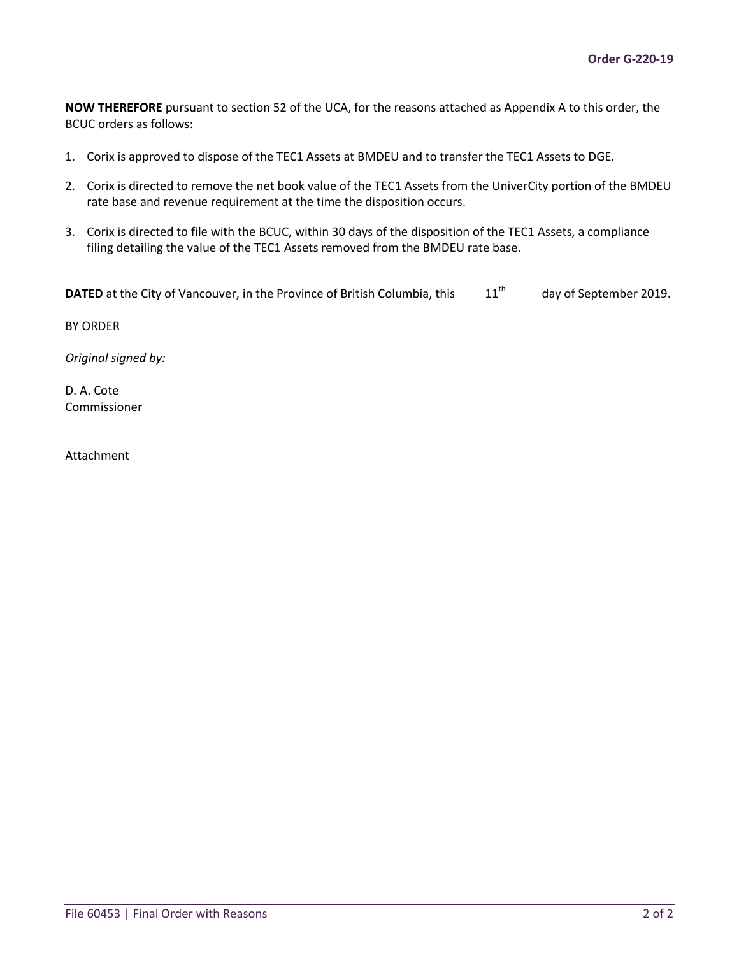**NOW THEREFORE** pursuant to section 52 of the UCA, for the reasons attached as Appendix A to this order, the BCUC orders as follows:

- 1. Corix is approved to dispose of the TEC1 Assets at BMDEU and to transfer the TEC1 Assets to DGE.
- 2. Corix is directed to remove the net book value of the TEC1 Assets from the UniverCity portion of the BMDEU rate base and revenue requirement at the time the disposition occurs.
- 3. Corix is directed to file with the BCUC, within 30 days of the disposition of the TEC1 Assets, a compliance filing detailing the value of the TEC1 Assets removed from the BMDEU rate base.

```
DATED at the City of Vancouver, in the Province of British Columbia, this 11<sup>th</sup> day of September 2019.
```
BY ORDER

*Original signed by:* 

D. A. Cote Commissioner

Attachment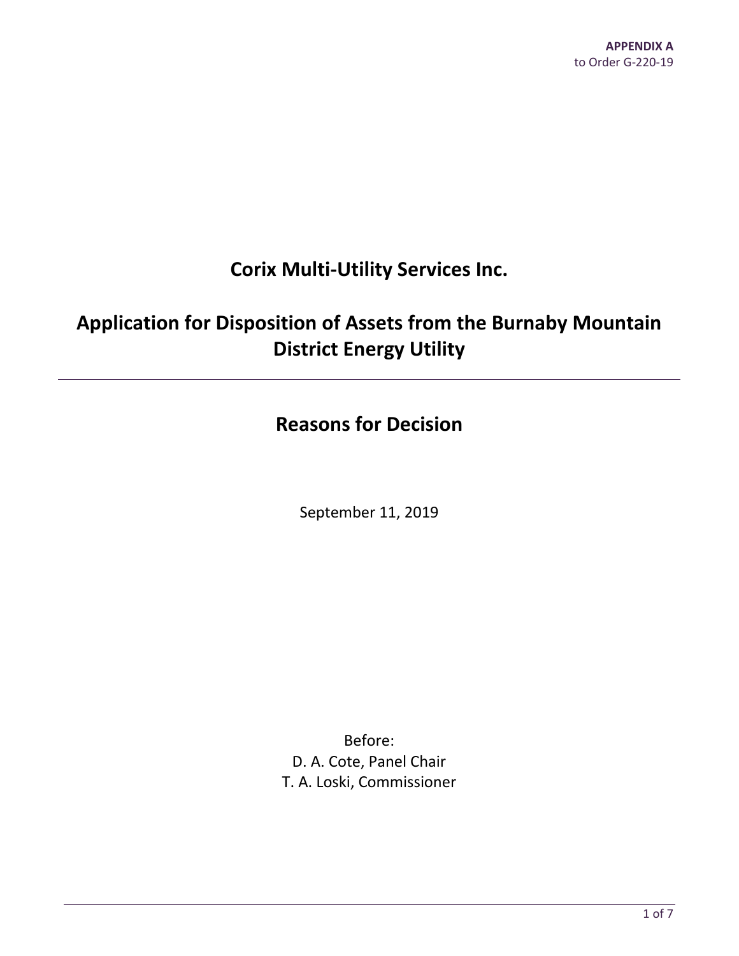# **Corix Multi-Utility Services Inc.**

# **Application for Disposition of Assets from the Burnaby Mountain District Energy Utility**

# **Reasons for Decision**

September 11, 2019

Before: D. A. Cote, Panel Chair T. A. Loski, Commissioner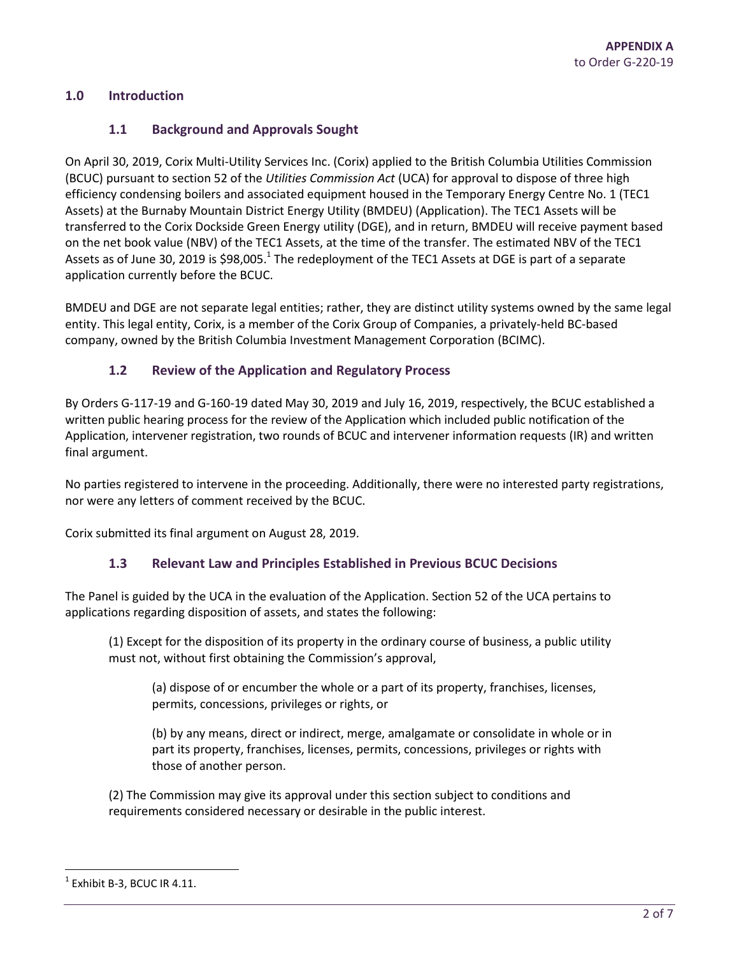#### **1.0 Introduction**

#### **1.1 Background and Approvals Sought**

On April 30, 2019, Corix Multi-Utility Services Inc. (Corix) applied to the British Columbia Utilities Commission (BCUC) pursuant to section 52 of the *Utilities Commission Act* (UCA) for approval to dispose of three high efficiency condensing boilers and associated equipment housed in the Temporary Energy Centre No. 1 (TEC1 Assets) at the Burnaby Mountain District Energy Utility (BMDEU) (Application). The TEC1 Assets will be transferred to the Corix Dockside Green Energy utility (DGE), and in return, BMDEU will receive payment based on the net book value (NBV) of the TEC1 Assets, at the time of the transfer. The estimated NBV of the TEC1 Assets as of June 30, 2019 is \$98,005.<sup>1</sup> The redeployment of the TEC1 Assets at DGE is part of a separate application currently before the BCUC.

BMDEU and DGE are not separate legal entities; rather, they are distinct utility systems owned by the same legal entity. This legal entity, Corix, is a member of the Corix Group of Companies, a privately-held BC-based company, owned by the British Columbia Investment Management Corporation (BCIMC).

#### **1.2 Review of the Application and Regulatory Process**

By Orders G-117-19 and G-160-19 dated May 30, 2019 and July 16, 2019, respectively, the BCUC established a written public hearing process for the review of the Application which included public notification of the Application, intervener registration, two rounds of BCUC and intervener information requests (IR) and written final argument.

No parties registered to intervene in the proceeding. Additionally, there were no interested party registrations, nor were any letters of comment received by the BCUC.

Corix submitted its final argument on August 28, 2019.

#### **1.3 Relevant Law and Principles Established in Previous BCUC Decisions**

The Panel is guided by the UCA in the evaluation of the Application. Section 52 of the UCA pertains to applications regarding disposition of assets, and states the following:

(1) Except for the disposition of its property in the ordinary course of business, a public utility must not, without first obtaining the Commission's approval,

(a) dispose of or encumber the whole or a part of its property, franchises, licenses, permits, concessions, privileges or rights, or

(b) by any means, direct or indirect, merge, amalgamate or consolidate in whole or in part its property, franchises, licenses, permits, concessions, privileges or rights with those of another person.

(2) The Commission may give its approval under this section subject to conditions and requirements considered necessary or desirable in the public interest.

 $\overline{\phantom{a}}$ 

<sup>1</sup> Exhibit B-3, BCUC IR 4.11.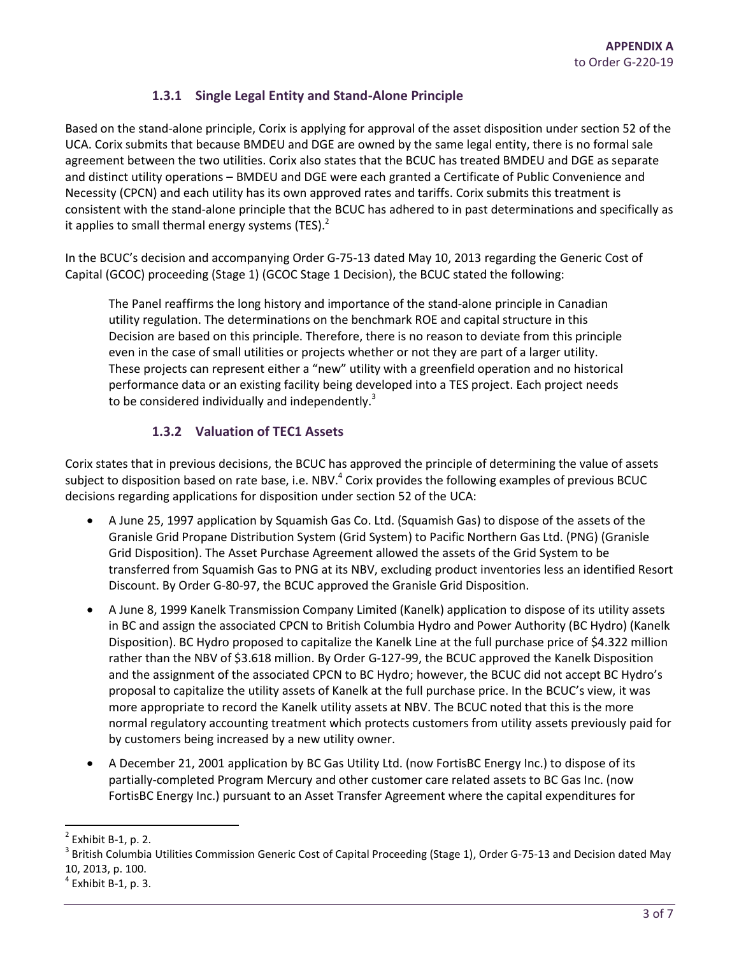# **1.3.1 Single Legal Entity and Stand-Alone Principle**

Based on the stand-alone principle, Corix is applying for approval of the asset disposition under section 52 of the UCA. Corix submits that because BMDEU and DGE are owned by the same legal entity, there is no formal sale agreement between the two utilities. Corix also states that the BCUC has treated BMDEU and DGE as separate and distinct utility operations – BMDEU and DGE were each granted a Certificate of Public Convenience and Necessity (CPCN) and each utility has its own approved rates and tariffs. Corix submits this treatment is consistent with the stand-alone principle that the BCUC has adhered to in past determinations and specifically as it applies to small thermal energy systems (TES). $<sup>2</sup>$ </sup>

In the BCUC's decision and accompanying Order G-75-13 dated May 10, 2013 regarding the Generic Cost of Capital (GCOC) proceeding (Stage 1) (GCOC Stage 1 Decision), the BCUC stated the following:

The Panel reaffirms the long history and importance of the stand-alone principle in Canadian utility regulation. The determinations on the benchmark ROE and capital structure in this Decision are based on this principle. Therefore, there is no reason to deviate from this principle even in the case of small utilities or projects whether or not they are part of a larger utility. These projects can represent either a "new" utility with a greenfield operation and no historical performance data or an existing facility being developed into a TES project. Each project needs to be considered individually and independently.<sup>3</sup>

# **1.3.2 Valuation of TEC1 Assets**

Corix states that in previous decisions, the BCUC has approved the principle of determining the value of assets subject to disposition based on rate base, i.e. NBV. $^4$  Corix provides the following examples of previous BCUC decisions regarding applications for disposition under section 52 of the UCA:

- A June 25, 1997 application by Squamish Gas Co. Ltd. (Squamish Gas) to dispose of the assets of the Granisle Grid Propane Distribution System (Grid System) to Pacific Northern Gas Ltd. (PNG) (Granisle Grid Disposition). The Asset Purchase Agreement allowed the assets of the Grid System to be transferred from Squamish Gas to PNG at its NBV, excluding product inventories less an identified Resort Discount. By Order G-80-97, the BCUC approved the Granisle Grid Disposition.
- A June 8, 1999 Kanelk Transmission Company Limited (Kanelk) application to dispose of its utility assets in BC and assign the associated CPCN to British Columbia Hydro and Power Authority (BC Hydro) (Kanelk Disposition). BC Hydro proposed to capitalize the Kanelk Line at the full purchase price of \$4.322 million rather than the NBV of \$3.618 million. By Order G-127-99, the BCUC approved the Kanelk Disposition and the assignment of the associated CPCN to BC Hydro; however, the BCUC did not accept BC Hydro's proposal to capitalize the utility assets of Kanelk at the full purchase price. In the BCUC's view, it was more appropriate to record the Kanelk utility assets at NBV. The BCUC noted that this is the more normal regulatory accounting treatment which protects customers from utility assets previously paid for by customers being increased by a new utility owner.
- A December 21, 2001 application by BC Gas Utility Ltd. (now FortisBC Energy Inc.) to dispose of its partially-completed Program Mercury and other customer care related assets to BC Gas Inc. (now FortisBC Energy Inc.) pursuant to an Asset Transfer Agreement where the capital expenditures for

 $\overline{a}$ 

<sup>2</sup> Exhibit B-1, p. 2.

<sup>&</sup>lt;sup>3</sup> British Columbia Utilities Commission Generic Cost of Capital Proceeding (Stage 1), Order G-75-13 and Decision dated May 10, 2013, p. 100.

 $<sup>4</sup>$  Exhibit B-1, p. 3.</sup>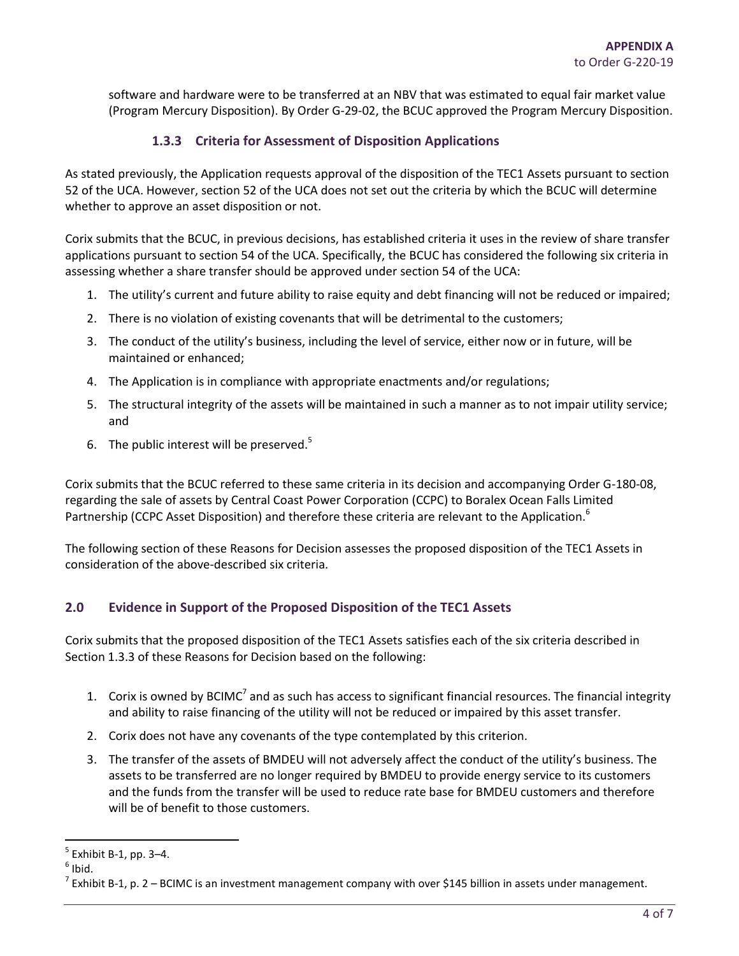software and hardware were to be transferred at an NBV that was estimated to equal fair market value (Program Mercury Disposition). By Order G-29-02, the BCUC approved the Program Mercury Disposition.

### **1.3.3 Criteria for Assessment of Disposition Applications**

As stated previously, the Application requests approval of the disposition of the TEC1 Assets pursuant to section 52 of the UCA. However, section 52 of the UCA does not set out the criteria by which the BCUC will determine whether to approve an asset disposition or not.

Corix submits that the BCUC, in previous decisions, has established criteria it uses in the review of share transfer applications pursuant to section 54 of the UCA. Specifically, the BCUC has considered the following six criteria in assessing whether a share transfer should be approved under section 54 of the UCA:

- 1. The utility's current and future ability to raise equity and debt financing will not be reduced or impaired;
- 2. There is no violation of existing covenants that will be detrimental to the customers;
- 3. The conduct of the utility's business, including the level of service, either now or in future, will be maintained or enhanced;
- 4. The Application is in compliance with appropriate enactments and/or regulations;
- 5. The structural integrity of the assets will be maintained in such a manner as to not impair utility service; and
- 6. The public interest will be preserved. $5$

Corix submits that the BCUC referred to these same criteria in its decision and accompanying Order G-180-08, regarding the sale of assets by Central Coast Power Corporation (CCPC) to Boralex Ocean Falls Limited Partnership (CCPC Asset Disposition) and therefore these criteria are relevant to the Application.<sup>6</sup>

The following section of these Reasons for Decision assesses the proposed disposition of the TEC1 Assets in consideration of the above-described six criteria.

# **2.0 Evidence in Support of the Proposed Disposition of the TEC1 Assets**

Corix submits that the proposed disposition of the TEC1 Assets satisfies each of the six criteria described in Section 1.3.3 of these Reasons for Decision based on the following:

- 1. Corix is owned by BCIMC<sup>7</sup> and as such has access to significant financial resources. The financial integrity and ability to raise financing of the utility will not be reduced or impaired by this asset transfer.
- 2. Corix does not have any covenants of the type contemplated by this criterion.
- 3. The transfer of the assets of BMDEU will not adversely affect the conduct of the utility's business. The assets to be transferred are no longer required by BMDEU to provide energy service to its customers and the funds from the transfer will be used to reduce rate base for BMDEU customers and therefore will be of benefit to those customers.

 $\overline{\phantom{a}}$ 

<sup>5</sup> Exhibit B-1, pp. 3–4.

 $<sup>6</sup>$  Ibid.</sup>

 $^7$  Exhibit B-1, p. 2 – BCIMC is an investment management company with over \$145 billion in assets under management.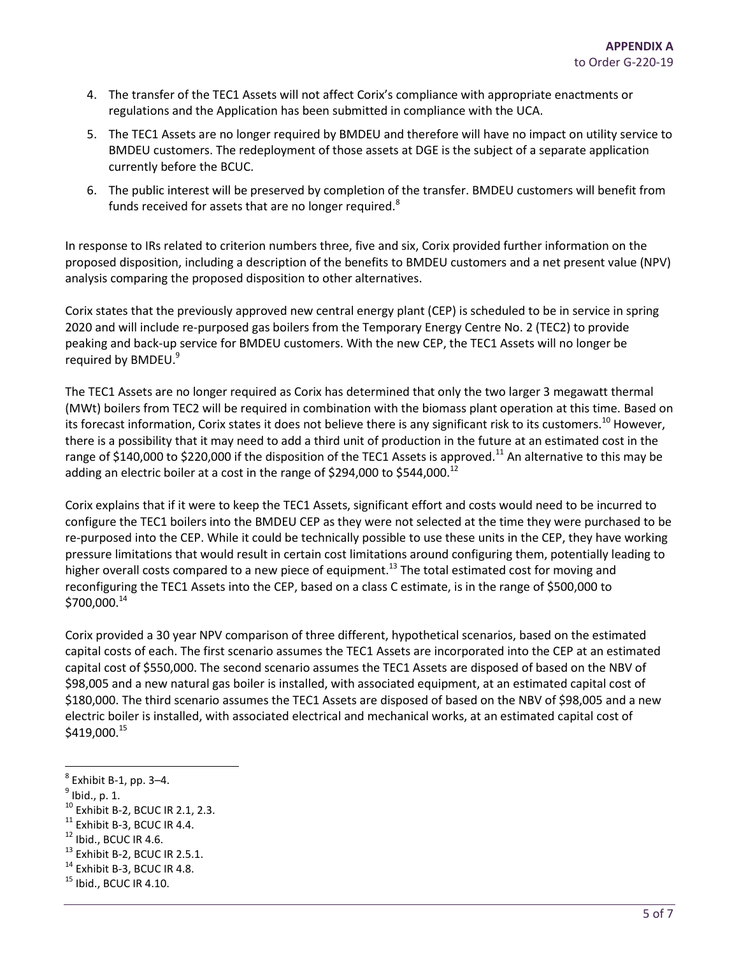- 4. The transfer of the TEC1 Assets will not affect Corix's compliance with appropriate enactments or regulations and the Application has been submitted in compliance with the UCA.
- 5. The TEC1 Assets are no longer required by BMDEU and therefore will have no impact on utility service to BMDEU customers. The redeployment of those assets at DGE is the subject of a separate application currently before the BCUC.
- 6. The public interest will be preserved by completion of the transfer. BMDEU customers will benefit from funds received for assets that are no longer required.<sup>8</sup>

In response to IRs related to criterion numbers three, five and six, Corix provided further information on the proposed disposition, including a description of the benefits to BMDEU customers and a net present value (NPV) analysis comparing the proposed disposition to other alternatives.

Corix states that the previously approved new central energy plant (CEP) is scheduled to be in service in spring 2020 and will include re-purposed gas boilers from the Temporary Energy Centre No. 2 (TEC2) to provide peaking and back-up service for BMDEU customers. With the new CEP, the TEC1 Assets will no longer be required by BMDEU.<sup>9</sup>

The TEC1 Assets are no longer required as Corix has determined that only the two larger 3 megawatt thermal (MWt) boilers from TEC2 will be required in combination with the biomass plant operation at this time. Based on its forecast information, Corix states it does not believe there is any significant risk to its customers.<sup>10</sup> However, there is a possibility that it may need to add a third unit of production in the future at an estimated cost in the range of \$140,000 to \$220,000 if the disposition of the TEC1 Assets is approved.<sup>11</sup> An alternative to this may be adding an electric boiler at a cost in the range of \$294,000 to \$544,000.<sup>12</sup>

Corix explains that if it were to keep the TEC1 Assets, significant effort and costs would need to be incurred to configure the TEC1 boilers into the BMDEU CEP as they were not selected at the time they were purchased to be re-purposed into the CEP. While it could be technically possible to use these units in the CEP, they have working pressure limitations that would result in certain cost limitations around configuring them, potentially leading to higher overall costs compared to a new piece of equipment.<sup>13</sup> The total estimated cost for moving and reconfiguring the TEC1 Assets into the CEP, based on a class C estimate, is in the range of \$500,000 to  $$700,000.<sup>14</sup>$ 

Corix provided a 30 year NPV comparison of three different, hypothetical scenarios, based on the estimated capital costs of each. The first scenario assumes the TEC1 Assets are incorporated into the CEP at an estimated capital cost of \$550,000. The second scenario assumes the TEC1 Assets are disposed of based on the NBV of \$98,005 and a new natural gas boiler is installed, with associated equipment, at an estimated capital cost of \$180,000. The third scenario assumes the TEC1 Assets are disposed of based on the NBV of \$98,005 and a new electric boiler is installed, with associated electrical and mechanical works, at an estimated capital cost of  $$419,000.^{15}$ 

- $^9$  Ibid., p. 1.
- <sup>10</sup> Exhibit B-2, BCUC IR 2.1, 2.3.
- $11$  Exhibit B-3, BCUC IR 4.4.

- $13$  Exhibit B-2, BCUC IR 2.5.1.
- $14$  Exhibit B-3, BCUC IR 4.8.
- $<sup>15</sup>$  Ibid., BCUC IR 4.10.</sup>

<sup>&</sup>lt;sub>8</sub><br>8 Exhibit B-1, pp. 3–4.

 $12$  Ibid., BCUC IR 4.6.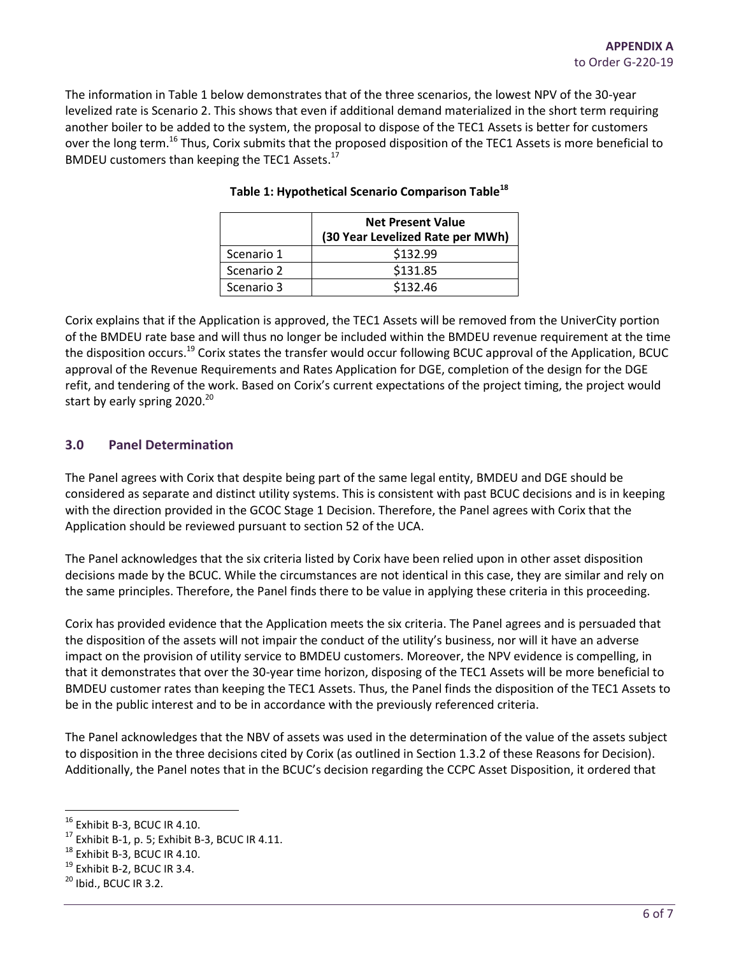The information in Table 1 below demonstrates that of the three scenarios, the lowest NPV of the 30-year levelized rate is Scenario 2. This shows that even if additional demand materialized in the short term requiring another boiler to be added to the system, the proposal to dispose of the TEC1 Assets is better for customers over the long term.<sup>16</sup> Thus, Corix submits that the proposed disposition of the TEC1 Assets is more beneficial to BMDEU customers than keeping the TEC1 Assets.<sup>17</sup>

|            | <b>Net Present Value</b><br>(30 Year Levelized Rate per MWh) |
|------------|--------------------------------------------------------------|
| Scenario 1 | \$132.99                                                     |
| Scenario 2 | \$131.85                                                     |
| Scenario 3 | \$132.46                                                     |

#### **Table 1: Hypothetical Scenario Comparison Table<sup>18</sup>**

Corix explains that if the Application is approved, the TEC1 Assets will be removed from the UniverCity portion of the BMDEU rate base and will thus no longer be included within the BMDEU revenue requirement at the time the disposition occurs.<sup>19</sup> Corix states the transfer would occur following BCUC approval of the Application, BCUC approval of the Revenue Requirements and Rates Application for DGE, completion of the design for the DGE refit, and tendering of the work. Based on Corix's current expectations of the project timing, the project would start by early spring  $2020.^{20}$ 

# **3.0 Panel Determination**

The Panel agrees with Corix that despite being part of the same legal entity, BMDEU and DGE should be considered as separate and distinct utility systems. This is consistent with past BCUC decisions and is in keeping with the direction provided in the GCOC Stage 1 Decision. Therefore, the Panel agrees with Corix that the Application should be reviewed pursuant to section 52 of the UCA.

The Panel acknowledges that the six criteria listed by Corix have been relied upon in other asset disposition decisions made by the BCUC. While the circumstances are not identical in this case, they are similar and rely on the same principles. Therefore, the Panel finds there to be value in applying these criteria in this proceeding.

Corix has provided evidence that the Application meets the six criteria. The Panel agrees and is persuaded that the disposition of the assets will not impair the conduct of the utility's business, nor will it have an adverse impact on the provision of utility service to BMDEU customers. Moreover, the NPV evidence is compelling, in that it demonstrates that over the 30-year time horizon, disposing of the TEC1 Assets will be more beneficial to BMDEU customer rates than keeping the TEC1 Assets. Thus, the Panel finds the disposition of the TEC1 Assets to be in the public interest and to be in accordance with the previously referenced criteria.

The Panel acknowledges that the NBV of assets was used in the determination of the value of the assets subject to disposition in the three decisions cited by Corix (as outlined in Section 1.3.2 of these Reasons for Decision). Additionally, the Panel notes that in the BCUC's decision regarding the CCPC Asset Disposition, it ordered that

l

 $16$  Exhibit B-3, BCUC IR 4.10.

 $17$  Exhibit B-1, p. 5; Exhibit B-3, BCUC IR 4.11.

<sup>&</sup>lt;sup>18</sup> Exhibit B-3, BCUC IR 4.10.

 $19$  Exhibit B-2, BCUC IR 3.4.

 $20$  Ibid., BCUC IR 3.2.